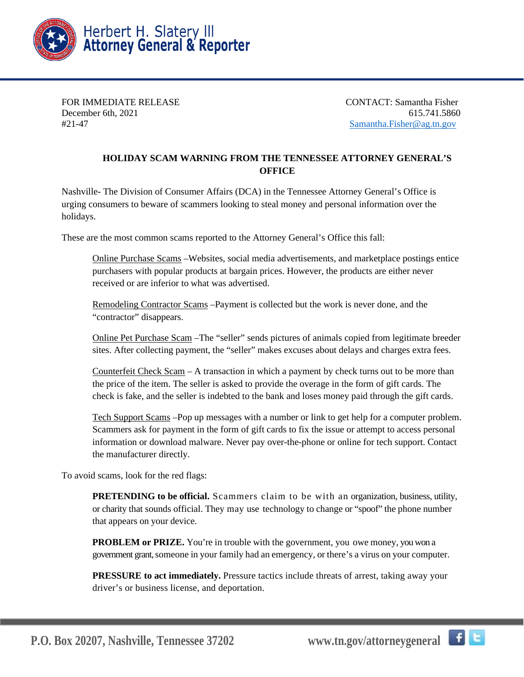

FOR IMMEDIATE RELEASE CONTACT: Samantha Fisher December 6th, 2021 615.741.5860 #21-47 [Samantha.Fisher@ag.tn.gov](mailto:Samantha.Fisher@ag.tn.gov)

## **HOLIDAY SCAM WARNING FROM THE TENNESSEE ATTORNEY GENERAL'S OFFICE**

Nashville- The Division of Consumer Affairs (DCA) in the Tennessee Attorney General's Office is urging consumers to beware of scammers looking to steal money and personal information over the holidays.

These are the most common scams reported to the Attorney General's Office this fall:

Online Purchase Scams –Websites, social media advertisements, and marketplace postings entice purchasers with popular products at bargain prices. However, the products are either never received or are inferior to what was advertised.

Remodeling Contractor Scams –Payment is collected but the work is never done, and the "contractor" disappears.

Online Pet Purchase Scam –The "seller" sends pictures of animals copied from legitimate breeder sites. After collecting payment, the "seller" makes excuses about delays and charges extra fees.

Counterfeit Check Scam – A transaction in which a payment by check turns out to be more than the price of the item. The seller is asked to provide the overage in the form of gift cards. The check is fake, and the seller is indebted to the bank and loses money paid through the gift cards.

Tech Support Scams –Pop up messages with a number or link to get help for a computer problem. Scammers ask for payment in the form of gift cards to fix the issue or attempt to access personal information or download malware. Never pay over-the-phone or online for tech support. Contact the manufacturer directly.

To avoid scams, look for the red flags:

**PRETENDING to be official.** Scammers claim to be with an organization, business, utility, or charity that sounds official. They may use technology to change or "spoof" the phone number that appears on your device.

**PROBLEM** or **PRIZE.** You're in trouble with the government, you owe money, you won a government grant, someone in your family had an emergency, or there's a virus on your computer.

**PRESSURE to act immediately.** Pressure tactics include threats of arrest, taking away your driver's or business license, and deportation.